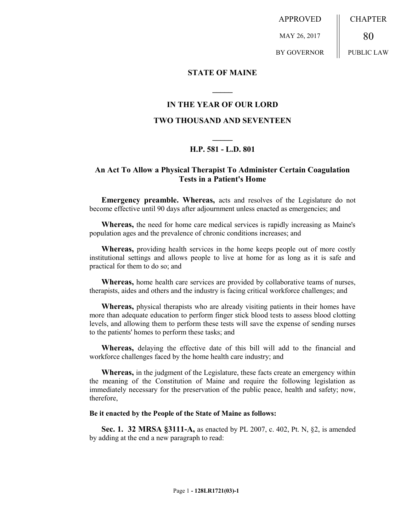APPROVED MAY 26, 2017 BY GOVERNOR CHAPTER 80 PUBLIC LAW

**STATE OF MAINE**

### **IN THE YEAR OF OUR LORD**

**\_\_\_\_\_**

### **TWO THOUSAND AND SEVENTEEN**

# **\_\_\_\_\_ H.P. 581 - L.D. 801**

## **An Act To Allow a Physical Therapist To Administer Certain Coagulation Tests in a Patient's Home**

**Emergency preamble. Whereas,** acts and resolves of the Legislature do not become effective until 90 days after adjournment unless enacted as emergencies; and

**Whereas,** the need for home care medical services is rapidly increasing as Maine's population ages and the prevalence of chronic conditions increases; and

**Whereas,** providing health services in the home keeps people out of more costly institutional settings and allows people to live at home for as long as it is safe and practical for them to do so; and

**Whereas,** home health care services are provided by collaborative teams of nurses, therapists, aides and others and the industry is facing critical workforce challenges; and

**Whereas,** physical therapists who are already visiting patients in their homes have more than adequate education to perform finger stick blood tests to assess blood clotting levels, and allowing them to perform these tests will save the expense of sending nurses to the patients' homes to perform these tasks; and

**Whereas,** delaying the effective date of this bill will add to the financial and workforce challenges faced by the home health care industry; and

**Whereas,** in the judgment of the Legislature, these facts create an emergency within the meaning of the Constitution of Maine and require the following legislation as immediately necessary for the preservation of the public peace, health and safety; now, therefore,

#### **Be it enacted by the People of the State of Maine as follows:**

**Sec. 1. 32 MRSA §3111-A, as enacted by PL 2007, c. 402, Pt. N, §2, is amended** by adding at the end a new paragraph to read: